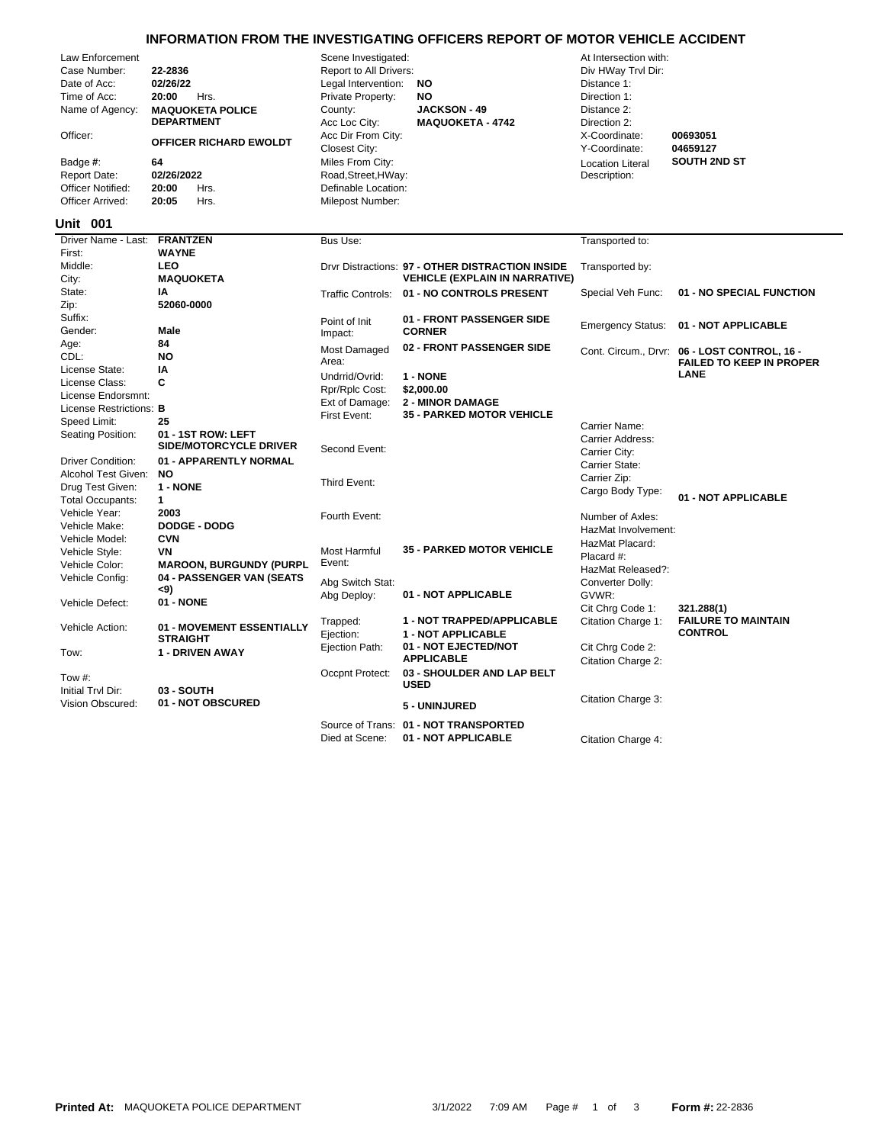## **INFORMATION FROM THE INVESTIGATING OFFICERS REPORT OF MOTOR VEHICLE ACCIDENT**

| Law Enforcement<br>Case Number:<br>Date of Acc:<br>Time of Acc:<br>Name of Agency:<br>Officer:<br>Badge #:<br><b>Report Date:</b><br>Officer Notified:<br>Officer Arrived:<br><b>Unit 001</b> | 22-2836<br>02/26/22<br>20:00<br>Hrs.<br><b>MAQUOKETA POLICE</b><br><b>DEPARTMENT</b><br>OFFICER RICHARD EWOLDT<br>64<br>02/26/2022<br>20:00<br>Hrs.<br>20:05<br>Hrs. | Scene Investigated:<br>Report to All Drivers:<br>Legal Intervention:<br>Private Property:<br>County:<br>Acc Loc City:<br>Acc Dir From City:<br>Closest City:<br>Miles From City:<br>Road, Street, HWay:<br>Definable Location:<br>Milepost Number: | <b>NO</b><br>NO<br><b>JACKSON - 49</b><br><b>MAQUOKETA - 4742</b>                         | At Intersection with:<br>Div HWay Trvl Dir:<br>Distance 1:<br>Direction 1:<br>Distance 2:<br>Direction 2:<br>X-Coordinate:<br>Y-Coordinate:<br><b>Location Literal</b><br>Description: | 00693051<br>04659127<br><b>SOUTH 2ND ST</b>                                     |
|-----------------------------------------------------------------------------------------------------------------------------------------------------------------------------------------------|----------------------------------------------------------------------------------------------------------------------------------------------------------------------|----------------------------------------------------------------------------------------------------------------------------------------------------------------------------------------------------------------------------------------------------|-------------------------------------------------------------------------------------------|----------------------------------------------------------------------------------------------------------------------------------------------------------------------------------------|---------------------------------------------------------------------------------|
| Driver Name - Last:                                                                                                                                                                           | <b>FRANTZEN</b>                                                                                                                                                      | Bus Use:                                                                                                                                                                                                                                           |                                                                                           | Transported to:                                                                                                                                                                        |                                                                                 |
| First:<br>Middle:<br>City:                                                                                                                                                                    | <b>WAYNE</b><br><b>LEO</b><br><b>MAQUOKETA</b>                                                                                                                       |                                                                                                                                                                                                                                                    | Drvr Distractions: 97 - OTHER DISTRACTION INSIDE<br><b>VEHICLE (EXPLAIN IN NARRATIVE)</b> | Transported by:                                                                                                                                                                        |                                                                                 |
| State:                                                                                                                                                                                        | IA                                                                                                                                                                   |                                                                                                                                                                                                                                                    | Traffic Controls: 01 - NO CONTROLS PRESENT                                                | Special Veh Func:                                                                                                                                                                      | 01 - NO SPECIAL FUNCTION                                                        |
| Zip:<br>Suffix:<br>Gender:                                                                                                                                                                    | 52060-0000<br>Male                                                                                                                                                   | Point of Init<br>Impact:                                                                                                                                                                                                                           | 01 - FRONT PASSENGER SIDE<br><b>CORNER</b>                                                | <b>Emergency Status:</b>                                                                                                                                                               | 01 - NOT APPLICABLE                                                             |
| Age:<br>CDL:                                                                                                                                                                                  | 84<br><b>NO</b>                                                                                                                                                      | Most Damaged<br>Area:                                                                                                                                                                                                                              | 02 - FRONT PASSENGER SIDE                                                                 |                                                                                                                                                                                        | Cont. Circum., Drvr: 06 - LOST CONTROL, 16 -<br><b>FAILED TO KEEP IN PROPER</b> |
| License State:<br>License Class:                                                                                                                                                              | ΙA<br>C                                                                                                                                                              | Undrrid/Ovrid:                                                                                                                                                                                                                                     | 1 - NONE                                                                                  |                                                                                                                                                                                        | <b>LANE</b>                                                                     |
| License Endorsmnt:                                                                                                                                                                            |                                                                                                                                                                      | Rpr/Rplc Cost:                                                                                                                                                                                                                                     | \$2,000.00                                                                                |                                                                                                                                                                                        |                                                                                 |
| License Restrictions: B                                                                                                                                                                       |                                                                                                                                                                      | Ext of Damage:                                                                                                                                                                                                                                     | <b>2 - MINOR DAMAGE</b>                                                                   |                                                                                                                                                                                        |                                                                                 |
| Speed Limit:                                                                                                                                                                                  | 25                                                                                                                                                                   | First Event:                                                                                                                                                                                                                                       | <b>35 - PARKED MOTOR VEHICLE</b>                                                          | Carrier Name:                                                                                                                                                                          |                                                                                 |
| Seating Position:                                                                                                                                                                             | 01 - 1ST ROW: LEFT<br>SIDE/MOTORCYCLE DRIVER                                                                                                                         | Second Event:                                                                                                                                                                                                                                      |                                                                                           | Carrier Address:<br>Carrier City:                                                                                                                                                      |                                                                                 |
| <b>Driver Condition:</b>                                                                                                                                                                      | 01 - APPARENTLY NORMAL                                                                                                                                               |                                                                                                                                                                                                                                                    |                                                                                           | Carrier State:                                                                                                                                                                         |                                                                                 |
| Alcohol Test Given:                                                                                                                                                                           | <b>NO</b><br>1 - NONE                                                                                                                                                | Third Event:                                                                                                                                                                                                                                       |                                                                                           | Carrier Zip:                                                                                                                                                                           |                                                                                 |
| Drug Test Given:<br><b>Total Occupants:</b>                                                                                                                                                   | 1                                                                                                                                                                    |                                                                                                                                                                                                                                                    |                                                                                           | Cargo Body Type:                                                                                                                                                                       | 01 - NOT APPLICABLE                                                             |
| Vehicle Year:                                                                                                                                                                                 | 2003                                                                                                                                                                 |                                                                                                                                                                                                                                                    |                                                                                           |                                                                                                                                                                                        |                                                                                 |
| Vehicle Make:                                                                                                                                                                                 | <b>DODGE - DODG</b>                                                                                                                                                  | Fourth Event:                                                                                                                                                                                                                                      |                                                                                           | Number of Axles:<br>HazMat Involvement:                                                                                                                                                |                                                                                 |
| Vehicle Model:                                                                                                                                                                                | <b>CVN</b>                                                                                                                                                           |                                                                                                                                                                                                                                                    |                                                                                           | HazMat Placard:                                                                                                                                                                        |                                                                                 |
| Vehicle Style:                                                                                                                                                                                | VN                                                                                                                                                                   | <b>Most Harmful</b>                                                                                                                                                                                                                                | <b>35 - PARKED MOTOR VEHICLE</b>                                                          | Placard #:                                                                                                                                                                             |                                                                                 |
| Vehicle Color:                                                                                                                                                                                | <b>MAROON, BURGUNDY (PURPL</b>                                                                                                                                       | Event:                                                                                                                                                                                                                                             |                                                                                           | HazMat Released?:                                                                                                                                                                      |                                                                                 |
| Vehicle Config:                                                                                                                                                                               | 04 - PASSENGER VAN (SEATS                                                                                                                                            | Abg Switch Stat:                                                                                                                                                                                                                                   |                                                                                           | Converter Dolly:                                                                                                                                                                       |                                                                                 |
| Vehicle Defect:                                                                                                                                                                               | <9)<br>01 - NONE                                                                                                                                                     | Abg Deploy:                                                                                                                                                                                                                                        | 01 - NOT APPLICABLE                                                                       | GVWR:<br>Cit Chrg Code 1:                                                                                                                                                              | 321.288(1)                                                                      |
| Vehicle Action:                                                                                                                                                                               | 01 - MOVEMENT ESSENTIALLY<br><b>STRAIGHT</b>                                                                                                                         | Trapped:<br>Ejection:                                                                                                                                                                                                                              | 1 - NOT TRAPPED/APPLICABLE<br>1 - NOT APPLICABLE                                          | Citation Charge 1:                                                                                                                                                                     | <b>FAILURE TO MAINTAIN</b><br><b>CONTROL</b>                                    |
| Tow:                                                                                                                                                                                          | 1 - DRIVEN AWAY                                                                                                                                                      | Ejection Path:                                                                                                                                                                                                                                     | 01 - NOT EJECTED/NOT<br><b>APPLICABLE</b>                                                 | Cit Chrg Code 2:<br>Citation Charge 2:                                                                                                                                                 |                                                                                 |
| Tow #:<br>Initial Trvl Dir:                                                                                                                                                                   | 03 - SOUTH                                                                                                                                                           | Occpnt Protect:                                                                                                                                                                                                                                    | 03 - SHOULDER AND LAP BELT<br><b>USED</b>                                                 |                                                                                                                                                                                        |                                                                                 |
| Vision Obscured:                                                                                                                                                                              | 01 - NOT OBSCURED                                                                                                                                                    |                                                                                                                                                                                                                                                    | 5 - UNINJURED                                                                             | Citation Charge 3:                                                                                                                                                                     |                                                                                 |
|                                                                                                                                                                                               |                                                                                                                                                                      |                                                                                                                                                                                                                                                    | Source of Trans: 01 - NOT TRANSPORTED                                                     |                                                                                                                                                                                        |                                                                                 |

Died at Scene: **01 - NOT APPLICABLE** Citation Charge 4: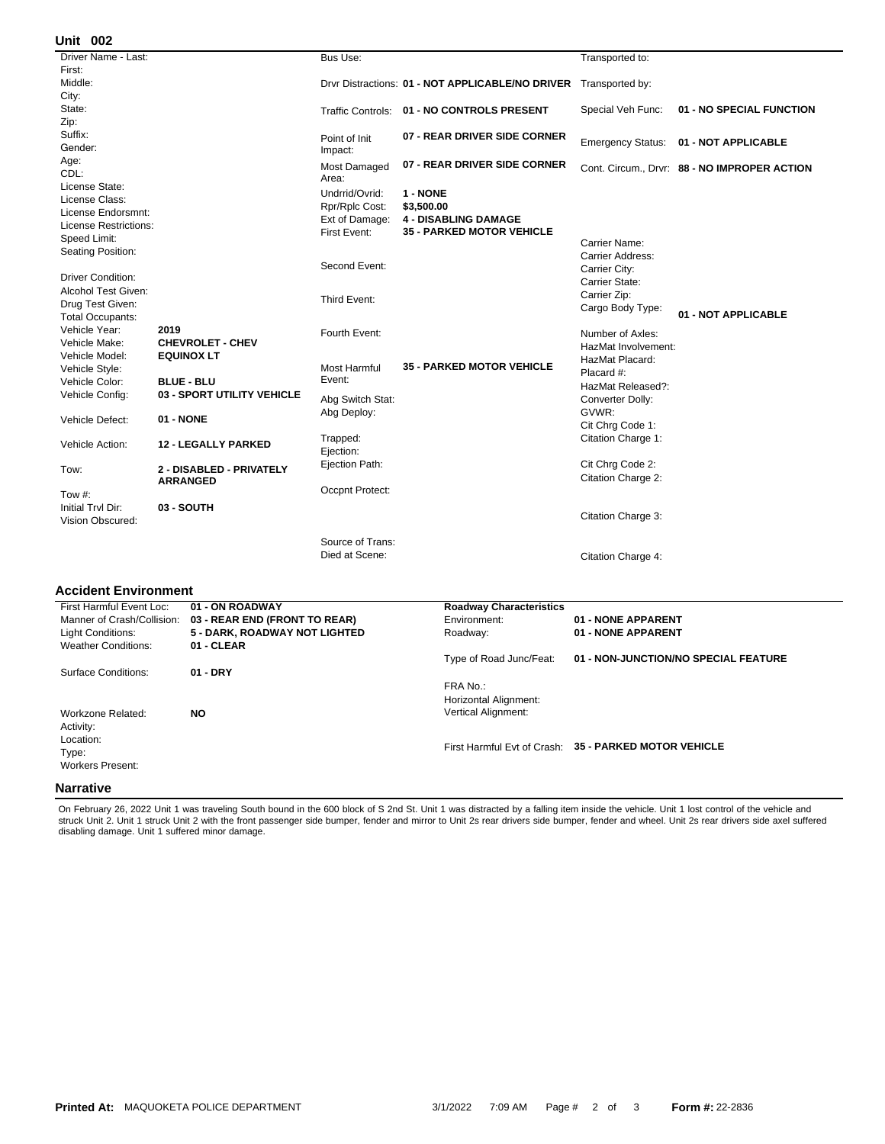## **002 Unit**

| Driver Name - Last:          |                            | <b>Bus Use:</b>               |                                                  | Transported to:         |                                              |
|------------------------------|----------------------------|-------------------------------|--------------------------------------------------|-------------------------|----------------------------------------------|
| First:                       |                            |                               |                                                  |                         |                                              |
| Middle:                      |                            |                               | Drvr Distractions: 01 - NOT APPLICABLE/NO DRIVER | Transported by:         |                                              |
| City:                        |                            |                               |                                                  |                         |                                              |
| State:                       |                            |                               | Traffic Controls: 01 - NO CONTROLS PRESENT       | Special Veh Func:       | 01 - NO SPECIAL FUNCTION                     |
| Zip:                         |                            |                               |                                                  |                         |                                              |
| Suffix:                      |                            | Point of Init                 | 07 - REAR DRIVER SIDE CORNER                     |                         | Emergency Status: 01 - NOT APPLICABLE        |
| Gender:                      |                            | Impact:                       |                                                  |                         |                                              |
| Age:                         |                            | Most Damaged                  | 07 - REAR DRIVER SIDE CORNER                     |                         | Cont. Circum., Drvr: 88 - NO IMPROPER ACTION |
| CDL:                         |                            | Area:                         |                                                  |                         |                                              |
| License State:               |                            | Undrrid/Ovrid:                | 1 - NONE                                         |                         |                                              |
| License Class:               |                            | Rpr/Rplc Cost:                | \$3,500.00                                       |                         |                                              |
| License Endorsmnt:           |                            | Ext of Damage:                | <b>4 - DISABLING DAMAGE</b>                      |                         |                                              |
| <b>License Restrictions:</b> |                            | First Event:                  | <b>35 - PARKED MOTOR VEHICLE</b>                 |                         |                                              |
| Speed Limit:                 |                            |                               |                                                  | Carrier Name:           |                                              |
| Seating Position:            |                            |                               |                                                  | <b>Carrier Address:</b> |                                              |
|                              |                            | Second Event:                 |                                                  | Carrier City:           |                                              |
| Driver Condition:            |                            |                               |                                                  | Carrier State:          |                                              |
| Alcohol Test Given:          |                            | Third Event:                  |                                                  | Carrier Zip:            |                                              |
| Drug Test Given:             |                            |                               |                                                  | Cargo Body Type:        | 01 - NOT APPLICABLE                          |
| <b>Total Occupants:</b>      |                            |                               |                                                  |                         |                                              |
| Vehicle Year:                | 2019                       | Fourth Event:                 |                                                  | Number of Axles:        |                                              |
| Vehicle Make:                | <b>CHEVROLET - CHEV</b>    |                               |                                                  | HazMat Involvement:     |                                              |
| Vehicle Model:               | <b>EQUINOX LT</b>          |                               | <b>35 - PARKED MOTOR VEHICLE</b>                 | HazMat Placard:         |                                              |
| Vehicle Style:               |                            | <b>Most Harmful</b><br>Event: |                                                  | Placard #:              |                                              |
| Vehicle Color:               | <b>BLUE - BLU</b>          |                               |                                                  | HazMat Released?:       |                                              |
| Vehicle Config:              | 03 - SPORT UTILITY VEHICLE | Abg Switch Stat:              |                                                  | Converter Dolly:        |                                              |
| Vehicle Defect:              | 01 - NONE                  | Abg Deploy:                   |                                                  | GVWR:                   |                                              |
|                              |                            |                               |                                                  | Cit Chrg Code 1:        |                                              |
| Vehicle Action:              | <b>12 - LEGALLY PARKED</b> | Trapped:                      |                                                  | Citation Charge 1:      |                                              |
|                              |                            | Ejection:                     |                                                  |                         |                                              |
| Tow:                         | 2 - DISABLED - PRIVATELY   | Ejection Path:                |                                                  | Cit Chrg Code 2:        |                                              |
|                              | <b>ARRANGED</b>            |                               |                                                  | Citation Charge 2:      |                                              |
| Tow $#$ :                    |                            | Occpnt Protect:               |                                                  |                         |                                              |
| Initial Tryl Dir:            | 03 - SOUTH                 |                               |                                                  |                         |                                              |
| Vision Obscured:             |                            |                               |                                                  | Citation Charge 3:      |                                              |
|                              |                            |                               |                                                  |                         |                                              |
|                              |                            | Source of Trans:              |                                                  |                         |                                              |
|                              |                            | Died at Scene:                |                                                  | Citation Charge 4:      |                                              |

## **Accident Environment**

| First Harmful Event Loc:                            | 01 - ON ROADWAY               | <b>Roadway Characteristics</b>                                  |                                                       |
|-----------------------------------------------------|-------------------------------|-----------------------------------------------------------------|-------------------------------------------------------|
| Manner of Crash/Collision:                          | 03 - REAR END (FRONT TO REAR) | Environment:                                                    | 01 - NONE APPARENT                                    |
| Light Conditions:                                   | 5 - DARK, ROADWAY NOT LIGHTED | Roadway:                                                        | 01 - NONE APPARENT                                    |
| <b>Weather Conditions:</b>                          | 01 - CLEAR                    |                                                                 |                                                       |
|                                                     |                               | Type of Road Junc/Feat:                                         | 01 - NON-JUNCTION/NO SPECIAL FEATURE                  |
| Surface Conditions:                                 | $01 - DRY$                    |                                                                 |                                                       |
| Workzone Related:                                   | <b>NO</b>                     | FRA No.:<br>Horizontal Alignment:<br><b>Vertical Alignment:</b> |                                                       |
| Activity:<br>Location:<br>Type:<br>Workers Present: |                               |                                                                 | First Harmful Evt of Crash: 35 - PARKED MOTOR VEHICLE |
| <b>Narrative</b>                                    |                               |                                                                 |                                                       |

On February 26, 2022 Unit 1 was traveling South bound in the 600 block of S 2nd St. Unit 1 was distracted by a falling item inside the vehicle. Unit 1 lost control of the vehicle and<br>struck Unit 2. Unit 1 struck Unit 2 wit disabling damage. Unit 1 suffered minor damage.